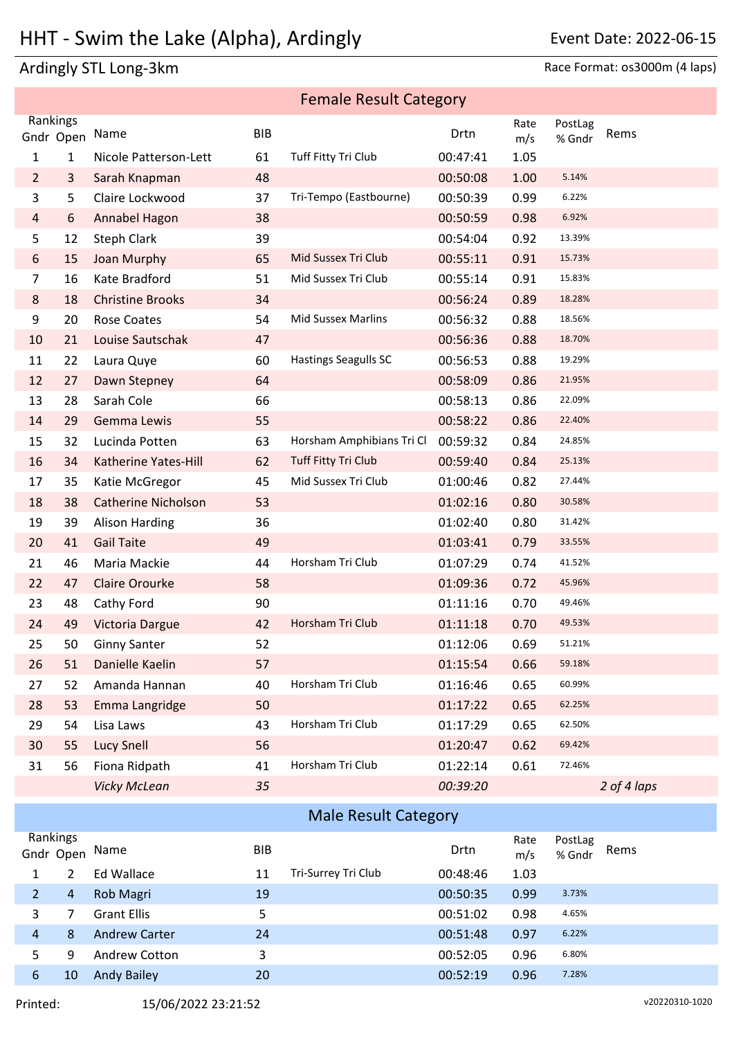## HHT - Swim the Lake (Alpha), Ardingly Freedom Mate: 2022-06-15

## Ardingly STL Long-3km Race Format: os3000m (4 laps)

|                |           |                            |            | <b>Female Result Category</b> |                      |              |                  |             |
|----------------|-----------|----------------------------|------------|-------------------------------|----------------------|--------------|------------------|-------------|
| Rankings       |           |                            |            |                               |                      | Rate         | PostLag          |             |
|                | Gndr Open | Name                       | <b>BIB</b> |                               | Drtn                 | m/s          | % Gndr           | Rems        |
| 1              | 1         | Nicole Patterson-Lett      | 61         | Tuff Fitty Tri Club           | 00:47:41             | 1.05         |                  |             |
| $\overline{2}$ | 3         | Sarah Knapman              | 48         |                               | 00:50:08             | 1.00         | 5.14%            |             |
| 3              | 5         | Claire Lockwood            | 37         | Tri-Tempo (Eastbourne)        | 00:50:39             | 0.99         | 6.22%            |             |
| $\overline{4}$ | 6         | Annabel Hagon              | 38         |                               | 00:50:59             | 0.98         | 6.92%            |             |
| 5              | 12        | <b>Steph Clark</b>         | 39         |                               | 00:54:04             | 0.92         | 13.39%           |             |
| 6              | 15        | Joan Murphy                | 65         | Mid Sussex Tri Club           | 00:55:11             | 0.91         | 15.73%           |             |
| 7              | 16        | Kate Bradford              | 51         | Mid Sussex Tri Club           | 00:55:14             | 0.91         | 15.83%           |             |
| 8              | 18        | <b>Christine Brooks</b>    | 34         |                               | 00:56:24             | 0.89         | 18.28%           |             |
| 9              | 20        | <b>Rose Coates</b>         | 54         | <b>Mid Sussex Marlins</b>     | 00:56:32             | 0.88         | 18.56%<br>18.70% |             |
| 10             | 21        | Louise Sautschak           | 47         | <b>Hastings Seagulls SC</b>   | 00:56:36             | 0.88         | 19.29%           |             |
| 11             | 22        | Laura Quye                 | 60         |                               | 00:56:53             | 0.88         | 21.95%           |             |
| 12             | 27        | Dawn Stepney<br>Sarah Cole | 64         |                               | 00:58:09<br>00:58:13 | 0.86         | 22.09%           |             |
| 13<br>14       | 28<br>29  | Gemma Lewis                | 66<br>55   |                               | 00:58:22             | 0.86<br>0.86 | 22.40%           |             |
| 15             | 32        | Lucinda Potten             | 63         | Horsham Amphibians Tri Cl     | 00:59:32             | 0.84         | 24.85%           |             |
| 16             | 34        | Katherine Yates-Hill       | 62         | Tuff Fitty Tri Club           | 00:59:40             | 0.84         | 25.13%           |             |
| 17             | 35        | Katie McGregor             | 45         | Mid Sussex Tri Club           | 01:00:46             | 0.82         | 27.44%           |             |
| 18             | 38        | <b>Catherine Nicholson</b> | 53         |                               | 01:02:16             | 0.80         | 30.58%           |             |
| 19             | 39        | <b>Alison Harding</b>      | 36         |                               | 01:02:40             | 0.80         | 31.42%           |             |
| 20             | 41        | <b>Gail Taite</b>          | 49         |                               | 01:03:41             | 0.79         | 33.55%           |             |
| 21             | 46        | Maria Mackie               | 44         | Horsham Tri Club              | 01:07:29             | 0.74         | 41.52%           |             |
| 22             | 47        | <b>Claire Orourke</b>      | 58         |                               | 01:09:36             | 0.72         | 45.96%           |             |
| 23             | 48        | Cathy Ford                 | 90         |                               | 01:11:16             | 0.70         | 49.46%           |             |
| 24             | 49        | Victoria Dargue            | 42         | Horsham Tri Club              | 01:11:18             | 0.70         | 49.53%           |             |
| 25             | 50        | <b>Ginny Santer</b>        | 52         |                               | 01:12:06             | 0.69         | 51.21%           |             |
| 26             | 51        | Danielle Kaelin            | 57         |                               | 01:15:54             | 0.66         | 59.18%           |             |
| 27             | 52        | Amanda Hannan              | 40         | Horsham Tri Club              | 01:16:46             | 0.65         | 60.99%           |             |
| 28             | 53        | Emma Langridge             | 50         |                               | 01:17:22             | 0.65         | 62.25%           |             |
| 29             | 54        | Lisa Laws                  | 43         | Horsham Tri Club              | 01:17:29             | 0.65         | 62.50%           |             |
| 30             | 55        | <b>Lucy Snell</b>          | 56         |                               | 01:20:47             | 0.62         | 69.42%           |             |
| 31             | 56        | Fiona Ridpath              | 41         | Horsham Tri Club              | 01:22:14             | 0.61         | 72.46%           |             |
|                |           | <b>Vicky McLean</b>        | 35         |                               | 00:39:20             |              |                  | 2 of 4 laps |
|                |           |                            |            | <b>Male Result Category</b>   |                      |              |                  |             |
| Rankings       |           |                            |            |                               |                      | Rate         | PostLag          |             |
|                | Gndr Open | Name                       | <b>BIB</b> |                               | Drtn                 | m/s          | % Gndr           | Rems        |
| $\mathbf{1}$   | 2         | <b>Ed Wallace</b>          | 11         | Tri-Surrey Tri Club           | 00:48:46             | 1.03         |                  |             |
| $\overline{a}$ | 4         | Rob Magri                  | 19         |                               | 00:50:35             | 0.99         | 3.73%            |             |
| 3              | 7         | <b>Grant Ellis</b>         | 5          |                               | 00:51:02             | 0.98         | 4.65%            |             |
| 4              | 8         | <b>Andrew Carter</b>       | 24         |                               | 00:51:48             | 0.97         | 6.22%            |             |
| 5              | 9         | Andrew Cotton              | 3          |                               | 00:52:05             | 0.96         | 6.80%            |             |
| 6              | 10        | <b>Andy Bailey</b>         | 20         |                               | 00:52:19             | 0.96         | 7.28%            |             |
|                |           |                            |            |                               |                      |              |                  |             |

Printed: 15/06/2022 23:21:52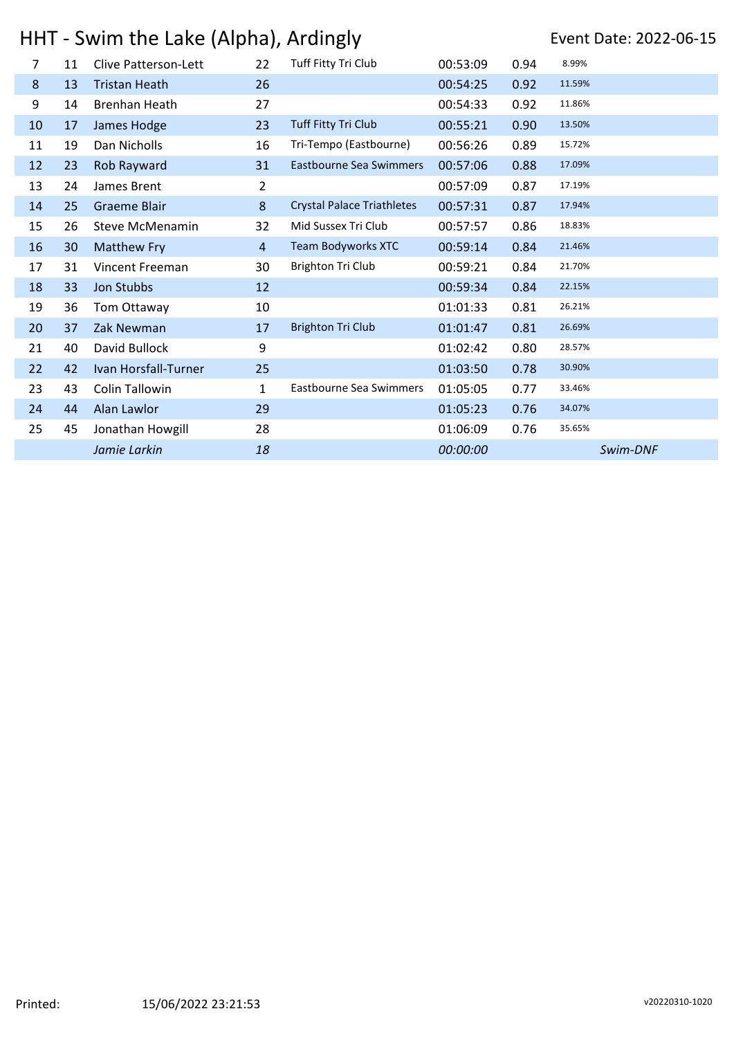# HHT - Swim the Lake (Alpha), Ardingly Freedom Mate: 2022-06-15

| $\overline{7}$ | 11 | <b>Clive Patterson-Lett</b> | 22             | Tuff Fitty Tri Club               | 00:53:09 | 0.94 | 8.99%    |
|----------------|----|-----------------------------|----------------|-----------------------------------|----------|------|----------|
| 8              | 13 | <b>Tristan Heath</b>        | 26             |                                   | 00:54:25 | 0.92 | 11.59%   |
| 9              | 14 | Brenhan Heath               | 27             |                                   | 00:54:33 | 0.92 | 11.86%   |
| 10             | 17 | James Hodge                 | 23             | Tuff Fitty Tri Club               | 00:55:21 | 0.90 | 13.50%   |
| 11             | 19 | Dan Nicholls                | 16             | Tri-Tempo (Eastbourne)            | 00:56:26 | 0.89 | 15.72%   |
| 12             | 23 | Rob Rayward                 | 31             | Eastbourne Sea Swimmers           | 00:57:06 | 0.88 | 17.09%   |
| 13             | 24 | James Brent                 | 2              |                                   | 00:57:09 | 0.87 | 17.19%   |
| 14             | 25 | <b>Graeme Blair</b>         | 8              | <b>Crystal Palace Triathletes</b> | 00:57:31 | 0.87 | 17.94%   |
| 15             | 26 | Steve McMenamin             | 32             | Mid Sussex Tri Club               | 00:57:57 | 0.86 | 18.83%   |
| 16             | 30 | <b>Matthew Fry</b>          | $\overline{4}$ | Team Bodyworks XTC                | 00:59:14 | 0.84 | 21.46%   |
| 17             | 31 | Vincent Freeman             | 30             | <b>Brighton Tri Club</b>          | 00:59:21 | 0.84 | 21.70%   |
| 18             | 33 | Jon Stubbs                  | 12             |                                   | 00:59:34 | 0.84 | 22.15%   |
| 19             | 36 | Tom Ottaway                 | 10             |                                   | 01:01:33 | 0.81 | 26.21%   |
| 20             | 37 | Zak Newman                  | 17             | <b>Brighton Tri Club</b>          | 01:01:47 | 0.81 | 26.69%   |
| 21             | 40 | David Bullock               | 9              |                                   | 01:02:42 | 0.80 | 28.57%   |
| 22             | 42 | Ivan Horsfall-Turner        | 25             |                                   | 01:03:50 | 0.78 | 30.90%   |
| 23             | 43 | Colin Tallowin              | 1              | Eastbourne Sea Swimmers           | 01:05:05 | 0.77 | 33.46%   |
| 24             | 44 | Alan Lawlor                 | 29             |                                   | 01:05:23 | 0.76 | 34.07%   |
| 25             | 45 | Jonathan Howgill            | 28             |                                   | 01:06:09 | 0.76 | 35.65%   |
|                |    | Jamie Larkin                | 18             |                                   | 00:00:00 |      | Swim-DNF |
|                |    |                             |                |                                   |          |      |          |